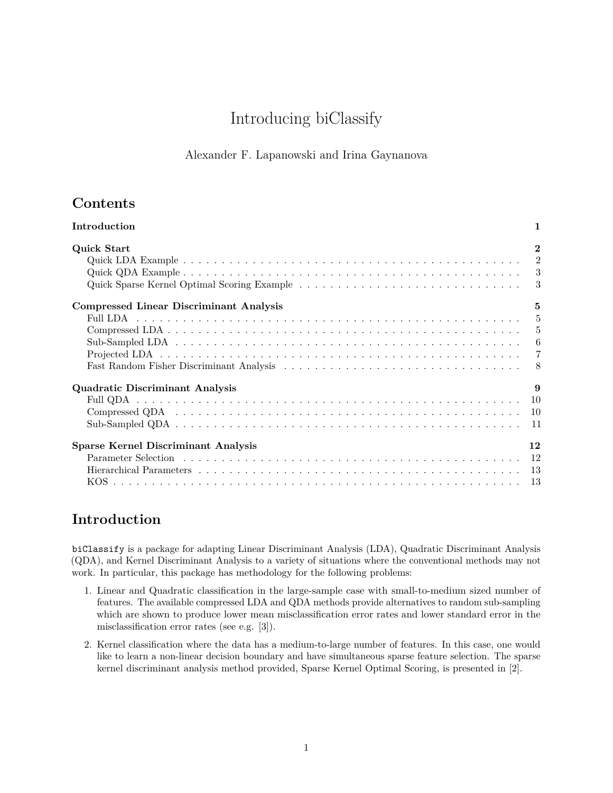# Introducing biClassify

### Alexander F. Lapanowski and Irina Gaynanova

# **Contents**

| $\overline{2}$<br>Quick Start                                  |
|----------------------------------------------------------------|
|                                                                |
|                                                                |
|                                                                |
|                                                                |
| <b>Compressed Linear Discriminant Analysis</b><br>$\mathbf{5}$ |
|                                                                |
|                                                                |
|                                                                |
|                                                                |
|                                                                |
| Quadratic Discriminant Analysis<br>9                           |
|                                                                |
|                                                                |
|                                                                |
| <b>Sparse Kernel Discriminant Analysis</b><br>12               |
|                                                                |
|                                                                |
|                                                                |

# <span id="page-0-0"></span>**Introduction**

biClassify is a package for adapting Linear Discriminant Analysis (LDA), Quadratic Discriminant Analysis (QDA), and Kernel Discriminant Analysis to a variety of situations where the conventional methods may not work. In particular, this package has methodology for the following problems:

- 1. Linear and Quadratic classification in the large-sample case with small-to-medium sized number of features. The available compressed LDA and QDA methods provide alternatives to random sub-sampling which are shown to produce lower mean misclassification error rates and lower standard error in the misclassification error rates (see e.g. [\[3\]](#page-13-0)).
- 2. Kernel classification where the data has a medium-to-large number of features. In this case, one would like to learn a non-linear decision boundary and have simultaneous sparse feature selection. The sparse kernel discriminant analysis method provided, Sparse Kernel Optimal Scoring, is presented in [\[2\]](#page-13-1).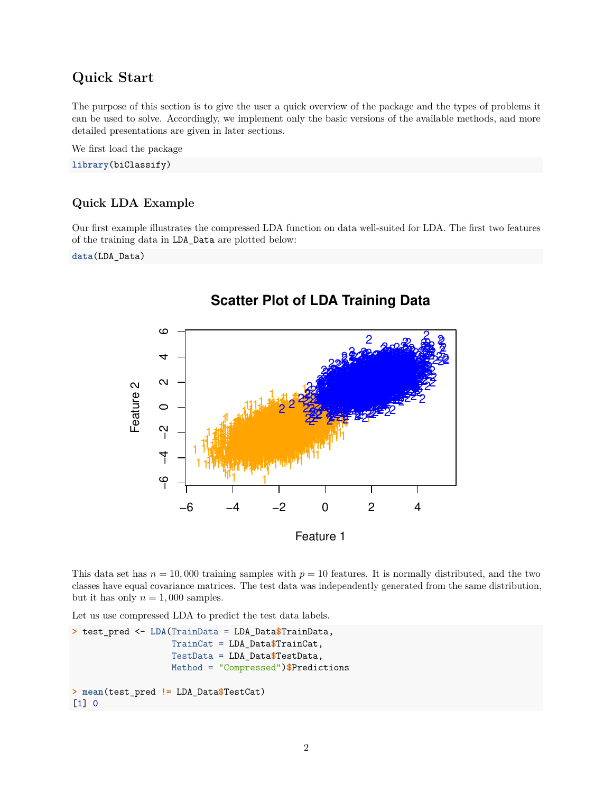# <span id="page-1-0"></span>**Quick Start**

The purpose of this section is to give the user a quick overview of the package and the types of problems it can be used to solve. Accordingly, we implement only the basic versions of the available methods, and more detailed presentations are given in later sections.

We first load the package

**library**(biClassify)

### <span id="page-1-1"></span>**Quick LDA Example**

Our first example illustrates the compressed LDA function on data well-suited for LDA. The first two features of the training data in LDA\_Data are plotted below:

**data**(LDA\_Data)



This data set has  $n = 10,000$  training samples with  $p = 10$  features. It is normally distributed, and the two classes have equal covariance matrices. The test data was independently generated from the same distribution, but it has only  $n = 1,000$  samples.

Let us use compressed LDA to predict the test data labels.

```
> test_pred <- LDA(TrainData = LDA_Data$TrainData,
                   TrainCat = LDA_Data$TrainCat,
                   TestData = LDA_Data$TestData,
                   Method = "Compressed")$Predictions
> mean(test_pred != LDA_Data$TestCat)
[1] 0
```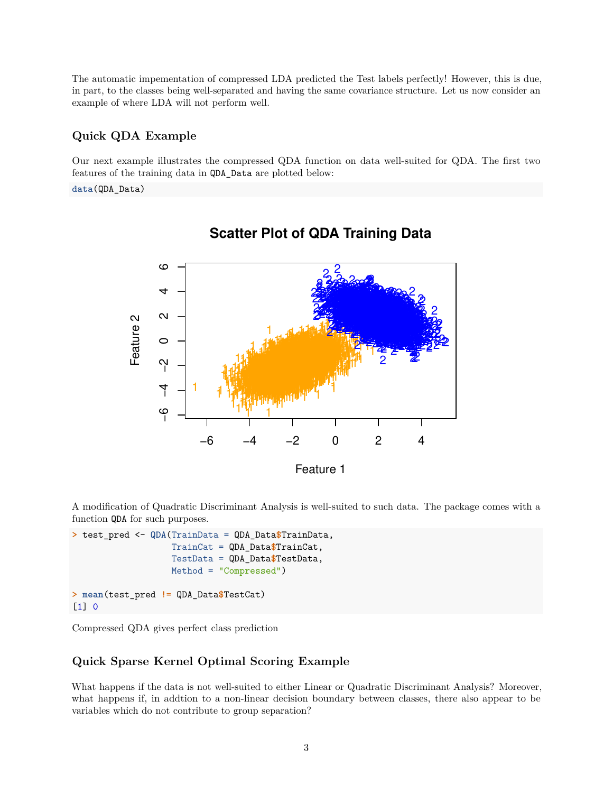The automatic impementation of compressed LDA predicted the Test labels perfectly! However, this is due, in part, to the classes being well-separated and having the same covariance structure. Let us now consider an example of where LDA will not perform well.

#### <span id="page-2-0"></span>**Quick QDA Example**

Our next example illustrates the compressed QDA function on data well-suited for QDA. The first two features of the training data in QDA\_Data are plotted below:

**data**(QDA\_Data)



# **Scatter Plot of QDA Training Data**

A modification of Quadratic Discriminant Analysis is well-suited to such data. The package comes with a function QDA for such purposes.

```
> test_pred <- QDA(TrainData = QDA_Data$TrainData,
                   TrainCat = QDA_Data$TrainCat,
                   TestData = QDA_Data$TestData,
                   Method = "Compressed")
> mean(test_pred != QDA_Data$TestCat)
[1] 0
```
Compressed QDA gives perfect class prediction

#### <span id="page-2-1"></span>**Quick Sparse Kernel Optimal Scoring Example**

What happens if the data is not well-suited to either Linear or Quadratic Discriminant Analysis? Moreover, what happens if, in addtion to a non-linear decision boundary between classes, there also appear to be variables which do not contribute to group separation?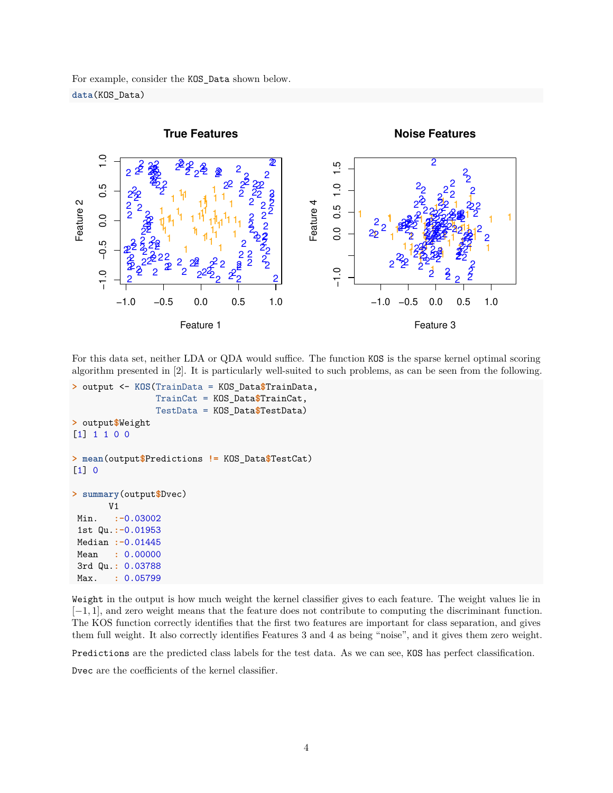For example, consider the KOS\_Data shown below. **data**(KOS\_Data)



For this data set, neither LDA or QDA would suffice. The function KOS is the sparse kernel optimal scoring algorithm presented in [\[2\]](#page-13-1). It is particularly well-suited to such problems, as can be seen from the following.

```
> output <- KOS(TrainData = KOS_Data$TrainData,
                TrainCat = KOS_Data$TrainCat,
                TestData = KOS_Data$TestData)
> output$Weight
[1] 1 1 0 0
> mean(output$Predictions != KOS_Data$TestCat)
[1] 0
> summary(output$Dvec)
       V1
Min. :-0.03002
 1st Qu.:-0.01953
Median :-0.01445
 Mean : 0.00000
 3rd Qu.: 0.03788
Max. : 0.05799
```
Weight in the output is how much weight the kernel classifier gives to each feature. The weight values lie in [−1*,* 1], and zero weight means that the feature does not contribute to computing the discriminant function. The KOS function correctly identifies that the first two features are important for class separation, and gives them full weight. It also correctly identifies Features 3 and 4 as being "noise", and it gives them zero weight.

Predictions are the predicted class labels for the test data. As we can see, KOS has perfect classification.

Dvec are the coefficients of the kernel classifier.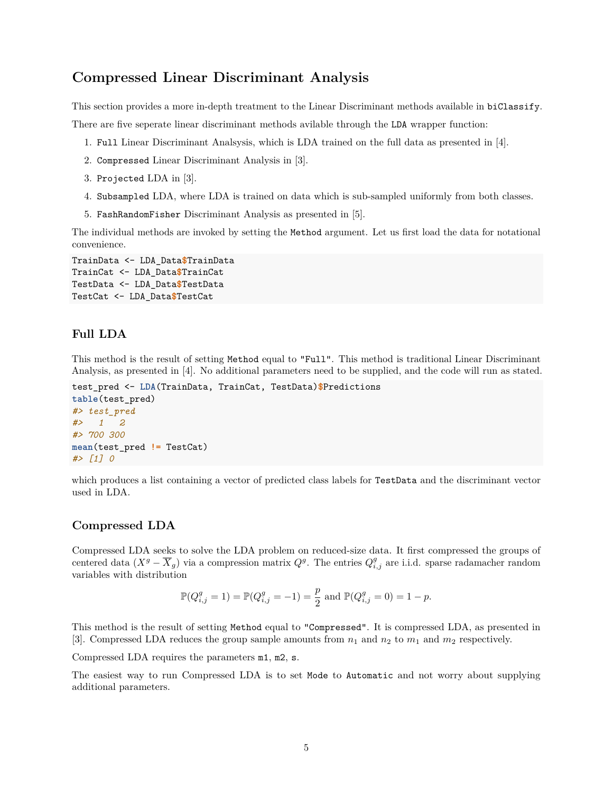### <span id="page-4-0"></span>**Compressed Linear Discriminant Analysis**

This section provides a more in-depth treatment to the Linear Discriminant methods available in biClassify.

There are five seperate linear discriminant methods avilable through the LDA wrapper function:

- 1. Full Linear Discriminant Analsysis, which is LDA trained on the full data as presented in [\[4\]](#page-13-2).
- 2. Compressed Linear Discriminant Analysis in [\[3\]](#page-13-0).
- 3. Projected LDA in [\[3\]](#page-13-0).
- 4. Subsampled LDA, where LDA is trained on data which is sub-sampled uniformly from both classes.
- 5. FashRandomFisher Discriminant Analysis as presented in [\[5\]](#page-13-3).

The individual methods are invoked by setting the Method argument. Let us first load the data for notational convenience.

```
TrainData <- LDA_Data$TrainData
TrainCat <- LDA_Data$TrainCat
TestData <- LDA_Data$TestData
TestCat <- LDA_Data$TestCat
```
#### <span id="page-4-1"></span>**Full LDA**

This method is the result of setting Method equal to "Full". This method is traditional Linear Discriminant Analysis, as presented in [\[4\]](#page-13-2). No additional parameters need to be supplied, and the code will run as stated.

```
test_pred <- LDA(TrainData, TrainCat, TestData)$Predictions
table(test_pred)
#> test_pred
#> 1 2
#> 700 300
mean(test_pred != TestCat)
#> [1] 0
```
which produces a list containing a vector of predicted class labels for TestData and the discriminant vector used in LDA.

#### <span id="page-4-2"></span>**Compressed LDA**

Compressed LDA seeks to solve the LDA problem on reduced-size data. It first compressed the groups of centered data  $(X^g - \overline{X}_g)$  via a compression matrix  $Q^g$ . The entries  $Q^g_{i,j}$  are i.i.d. sparse radamacher random variables with distribution

$$
\mathbb{P}(Q_{i,j}^g = 1) = \mathbb{P}(Q_{i,j}^g = -1) = \frac{p}{2}
$$
 and 
$$
\mathbb{P}(Q_{i,j}^g = 0) = 1 - p.
$$

This method is the result of setting Method equal to "Compressed". It is compressed LDA, as presented in [\[3\]](#page-13-0). Compressed LDA reduces the group sample amounts from  $n_1$  and  $n_2$  to  $m_1$  and  $m_2$  respectively.

Compressed LDA requires the parameters m1, m2, s.

The easiest way to run Compressed LDA is to set Mode to Automatic and not worry about supplying additional parameters.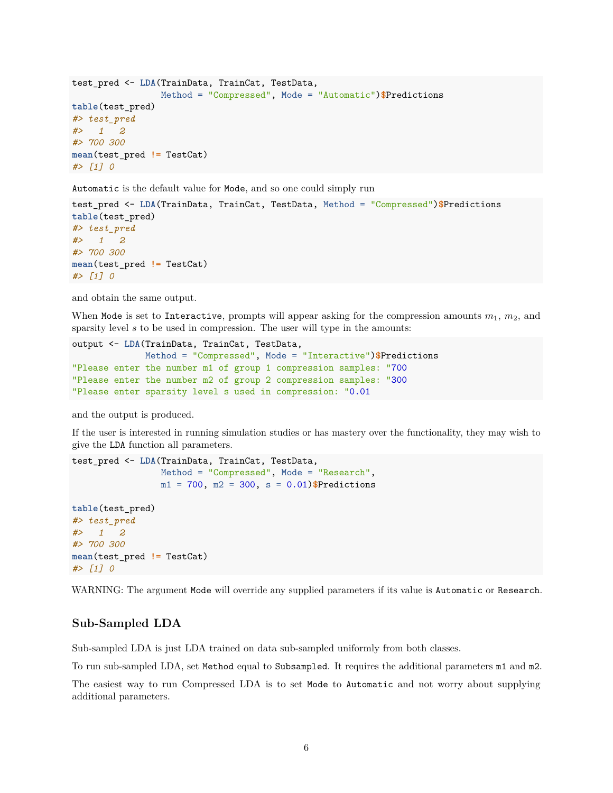```
test_pred <- LDA(TrainData, TrainCat, TestData,
                Method = "Compressed", Mode = "Automatic")$Predictions
table(test_pred)
#> test_pred
#> 1 2
#> 700 300
mean(test_pred != TestCat)
#> [1] 0
```
Automatic is the default value for Mode, and so one could simply run

```
test_pred <- LDA(TrainData, TrainCat, TestData, Method = "Compressed")$Predictions
table(test_pred)
#> test_pred
#> 1 2
#> 700 300
mean(test_pred != TestCat)
#> [1] 0
```
and obtain the same output.

When Mode is set to Interactive, prompts will appear asking for the compression amounts  $m_1$ ,  $m_2$ , and sparsity level *s* to be used in compression. The user will type in the amounts:

```
output <- LDA(TrainData, TrainCat, TestData,
              Method = "Compressed", Mode = "Interactive")$Predictions
"Please enter the number m1 of group 1 compression samples: "700
"Please enter the number m2 of group 2 compression samples: "300
"Please enter sparsity level s used in compression: "0.01
```
and the output is produced.

If the user is interested in running simulation studies or has mastery over the functionality, they may wish to give the LDA function all parameters.

```
test_pred <- LDA(TrainData, TrainCat, TestData,
                 Method = "Compressed", Mode = "Research",
                 m1 = 700, m2 = 300, s = 0.01)$Predictions
table(test_pred)
```

```
#> test_pred
#> 1 2
#> 700 300
mean(test_pred != TestCat)
#> [1] 0
```
WARNING: The argument Mode will override any supplied parameters if its value is Automatic or Research.

#### <span id="page-5-0"></span>**Sub-Sampled LDA**

Sub-sampled LDA is just LDA trained on data sub-sampled uniformly from both classes.

To run sub-sampled LDA, set Method equal to Subsampled. It requires the additional parameters m1 and m2.

The easiest way to run Compressed LDA is to set Mode to Automatic and not worry about supplying additional parameters.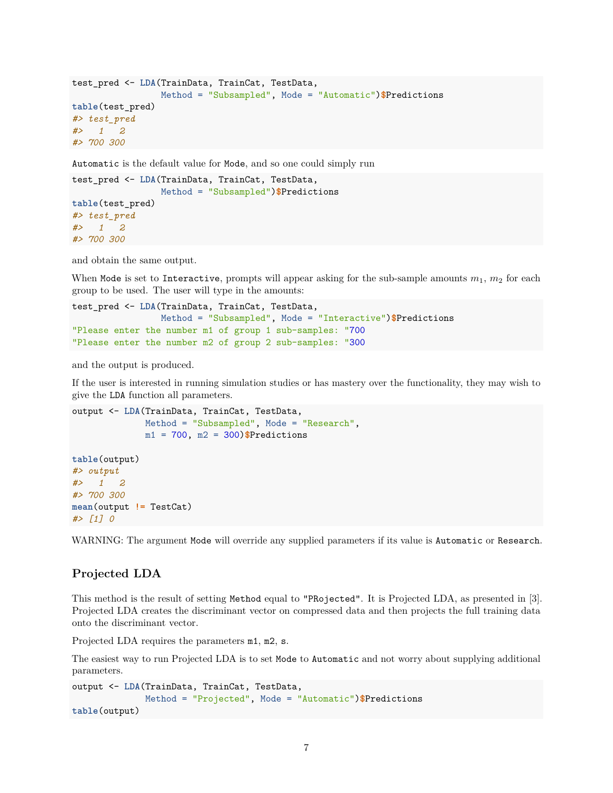```
test_pred <- LDA(TrainData, TrainCat, TestData,
                 Method = "Subsampled", Mode = "Automatic")$Predictions
table(test_pred)
#> test_pred
#> 1 2
#> 700 300
```
Automatic is the default value for Mode, and so one could simply run

```
test_pred <- LDA(TrainData, TrainCat, TestData,
                Method = "Subsampled")$Predictions
table(test_pred)
#> test_pred
#> 1 2
#> 700 300
```
and obtain the same output.

When Mode is set to Interactive, prompts will appear asking for the sub-sample amounts  $m_1$ ,  $m_2$  for each group to be used. The user will type in the amounts:

```
test_pred <- LDA(TrainData, TrainCat, TestData,
                Method = "Subsampled", Mode = "Interactive")$Predictions
"Please enter the number m1 of group 1 sub-samples: "700
"Please enter the number m2 of group 2 sub-samples: "300
```
and the output is produced.

If the user is interested in running simulation studies or has mastery over the functionality, they may wish to give the LDA function all parameters.

```
output <- LDA(TrainData, TrainCat, TestData,
              Method = "Subsampled", Mode = "Research",
              m1 = 700, m2 = 300)$Predictions
table(output)
#> output
#> 1 2
#> 700 300
mean(output != TestCat)
#> [1] 0
```
WARNING: The argument Mode will override any supplied parameters if its value is Automatic or Research.

#### <span id="page-6-0"></span>**Projected LDA**

This method is the result of setting Method equal to "PRojected". It is Projected LDA, as presented in [\[3\]](#page-13-0). Projected LDA creates the discriminant vector on compressed data and then projects the full training data onto the discriminant vector.

Projected LDA requires the parameters m1, m2, s.

The easiest way to run Projected LDA is to set Mode to Automatic and not worry about supplying additional parameters.

```
output <- LDA(TrainData, TrainCat, TestData,
              Method = "Projected", Mode = "Automatic")$Predictions
table(output)
```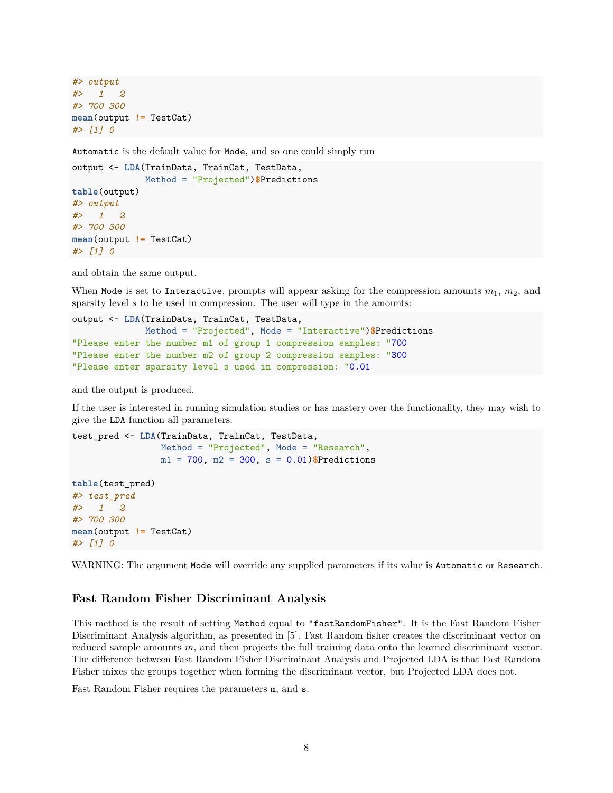```
#> output
#> 1 2
#> 700 300
mean(output != TestCat)
#> [1] 0
```
Automatic is the default value for Mode, and so one could simply run

```
output <- LDA(TrainData, TrainCat, TestData,
              Method = "Projected")$Predictions
table(output)
#> output
#> 1 2
#> 700 300
mean(output != TestCat)
#> [1] 0
```
and obtain the same output.

When Mode is set to Interactive, prompts will appear asking for the compression amounts  $m_1$ ,  $m_2$ , and sparsity level *s* to be used in compression. The user will type in the amounts:

```
output <- LDA(TrainData, TrainCat, TestData,
              Method = "Projected", Mode = "Interactive")$Predictions
"Please enter the number m1 of group 1 compression samples: "700
"Please enter the number m2 of group 2 compression samples: "300
"Please enter sparsity level s used in compression: "0.01
```
and the output is produced.

If the user is interested in running simulation studies or has mastery over the functionality, they may wish to give the LDA function all parameters.

```
test_pred <- LDA(TrainData, TrainCat, TestData,
                 Method = "Projected", Mode = "Research",
                 m1 = 700, m2 = 300, s = 0.01)$Predictions
table(test_pred)
#> test_pred
#> 1 2
#> 700 300
mean(output != TestCat)
#> [1] 0
```
WARNING: The argument Mode will override any supplied parameters if its value is Automatic or Research.

#### <span id="page-7-0"></span>**Fast Random Fisher Discriminant Analysis**

This method is the result of setting Method equal to "fastRandomFisher". It is the Fast Random Fisher Discriminant Analysis algorithm, as presented in [\[5\]](#page-13-3). Fast Random fisher creates the discriminant vector on reduced sample amounts *m*, and then projects the full training data onto the learned discriminant vector. The difference between Fast Random Fisher Discriminant Analysis and Projected LDA is that Fast Random Fisher mixes the groups together when forming the discriminant vector, but Projected LDA does not.

Fast Random Fisher requires the parameters m, and s.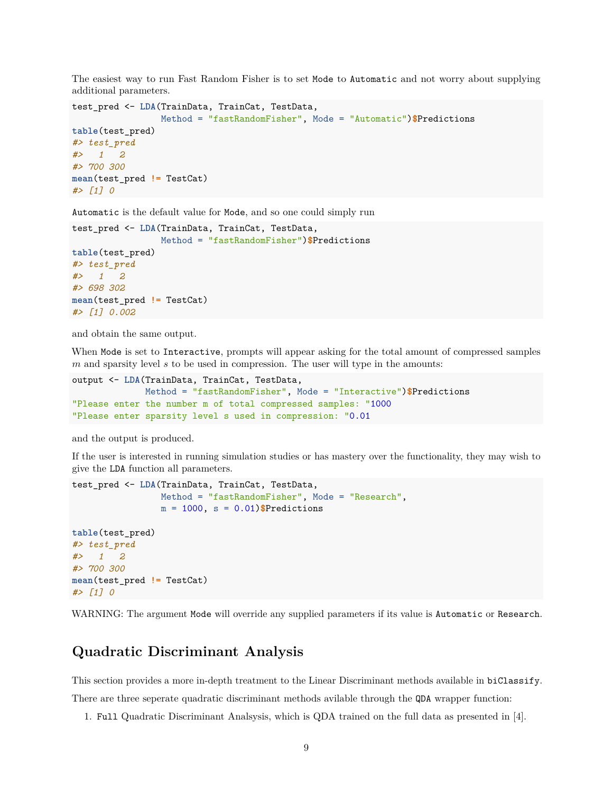The easiest way to run Fast Random Fisher is to set Mode to Automatic and not worry about supplying additional parameters.

```
test_pred <- LDA(TrainData, TrainCat, TestData,
                Method = "fastRandomFisher", Mode = "Automatic")$Predictions
table(test_pred)
#> test_pred
#> 1 2
#> 700 300
mean(test_pred != TestCat)
#> [1] 0
```
Automatic is the default value for Mode, and so one could simply run

```
test_pred <- LDA(TrainData, TrainCat, TestData,
                Method = "fastRandomFisher")$Predictions
table(test_pred)
#> test_pred
#> 1 2
#> 698 302
mean(test_pred != TestCat)
#> [1] 0.002
```
and obtain the same output.

When Mode is set to Interactive, prompts will appear asking for the total amount of compressed samples *m* and sparsity level *s* to be used in compression. The user will type in the amounts:

```
output <- LDA(TrainData, TrainCat, TestData,
              Method = "fastRandomFisher", Mode = "Interactive")$Predictions
"Please enter the number m of total compressed samples: "1000
"Please enter sparsity level s used in compression: "0.01
```
and the output is produced.

If the user is interested in running simulation studies or has mastery over the functionality, they may wish to give the LDA function all parameters.

```
test_pred <- LDA(TrainData, TrainCat, TestData,
                Method = "fastRandomFisher", Mode = "Research",
                m = 1000, s = 0.01)$Predictions
table(test_pred)
#> test_pred
#> 1 2
#> 700 300
mean(test_pred != TestCat)
#> [1] 0
```
WARNING: The argument Mode will override any supplied parameters if its value is Automatic or Research.

### <span id="page-8-0"></span>**Quadratic Discriminant Analysis**

This section provides a more in-depth treatment to the Linear Discriminant methods available in biClassify. There are three seperate quadratic discriminant methods avilable through the QDA wrapper function:

1. Full Quadratic Discriminant Analsysis, which is QDA trained on the full data as presented in [\[4\]](#page-13-2).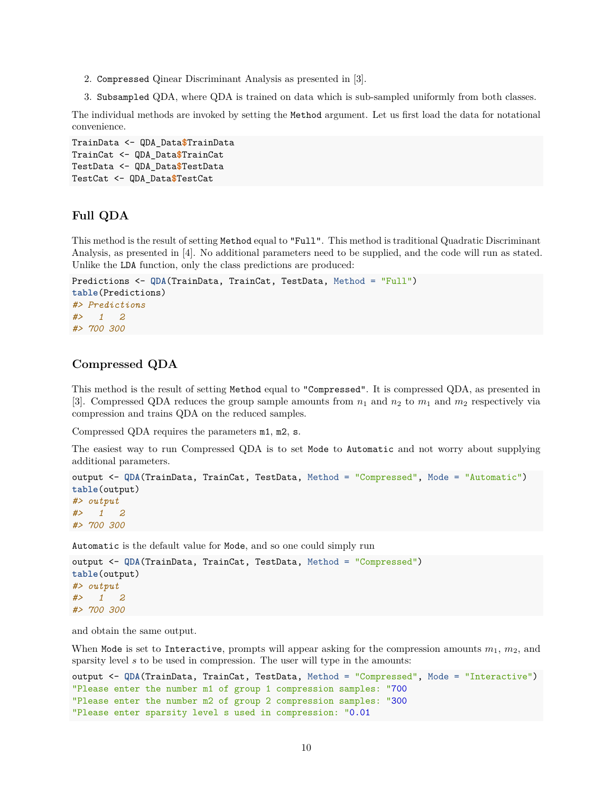- 2. Compressed Qinear Discriminant Analysis as presented in [\[3\]](#page-13-0).
- 3. Subsampled QDA, where QDA is trained on data which is sub-sampled uniformly from both classes.

The individual methods are invoked by setting the Method argument. Let us first load the data for notational convenience.

```
TrainData <- QDA_Data$TrainData
TrainCat <- QDA_Data$TrainCat
TestData <- QDA_Data$TestData
TestCat <- QDA_Data$TestCat
```
#### <span id="page-9-0"></span>**Full QDA**

This method is the result of setting Method equal to "Full". This method is traditional Quadratic Discriminant Analysis, as presented in [\[4\]](#page-13-2). No additional parameters need to be supplied, and the code will run as stated. Unlike the LDA function, only the class predictions are produced:

```
Predictions <- QDA(TrainData, TrainCat, TestData, Method = "Full")
table(Predictions)
#> Predictions
#> 1 2
#> 700 300
```
#### <span id="page-9-1"></span>**Compressed QDA**

This method is the result of setting Method equal to "Compressed". It is compressed QDA, as presented in [\[3\]](#page-13-0). Compressed QDA reduces the group sample amounts from  $n_1$  and  $n_2$  to  $m_1$  and  $m_2$  respectively via compression and trains QDA on the reduced samples.

Compressed QDA requires the parameters m1, m2, s.

The easiest way to run Compressed QDA is to set Mode to Automatic and not worry about supplying additional parameters.

```
output <- QDA(TrainData, TrainCat, TestData, Method = "Compressed", Mode = "Automatic")
table(output)
#> output
#> 1 2
#> 700 300
```
Automatic is the default value for Mode, and so one could simply run

```
output <- QDA(TrainData, TrainCat, TestData, Method = "Compressed")
table(output)
#> output
#> 1 2
#> 700 300
```
and obtain the same output.

When Mode is set to Interactive, prompts will appear asking for the compression amounts  $m_1$ ,  $m_2$ , and sparsity level *s* to be used in compression. The user will type in the amounts:

```
output <- QDA(TrainData, TrainCat, TestData, Method = "Compressed", Mode = "Interactive")
"Please enter the number m1 of group 1 compression samples: "700
"Please enter the number m2 of group 2 compression samples: "300
"Please enter sparsity level s used in compression: "0.01
```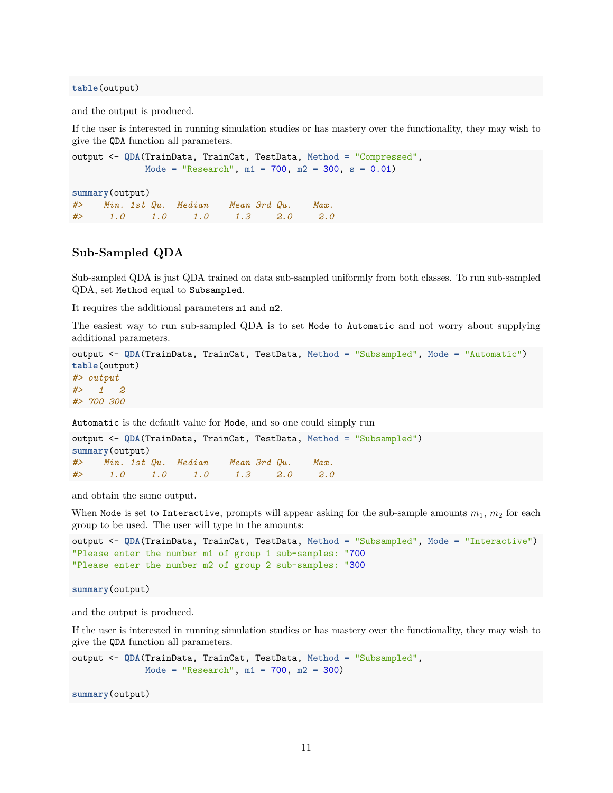**table**(output)

and the output is produced.

If the user is interested in running simulation studies or has mastery over the functionality, they may wish to give the QDA function all parameters.

```
output <- QDA(TrainData, TrainCat, TestData, Method = "Compressed",
              Mode = "Research", m1 = 700, m2 = 300, s = 0.01)
```
**summary**(output)

*#> Min. 1st Qu. Median Mean 3rd Qu. Max. #> 1.0 1.0 1.0 1.3 2.0 2.0*

#### <span id="page-10-0"></span>**Sub-Sampled QDA**

Sub-sampled QDA is just QDA trained on data sub-sampled uniformly from both classes. To run sub-sampled QDA, set Method equal to Subsampled.

It requires the additional parameters m1 and m2.

The easiest way to run sub-sampled QDA is to set Mode to Automatic and not worry about supplying additional parameters.

```
output <- QDA(TrainData, TrainCat, TestData, Method = "Subsampled", Mode = "Automatic")
table(output)
#> output
#> 1 2
#> 700 300
```
Automatic is the default value for Mode, and so one could simply run

```
output <- QDA(TrainData, TrainCat, TestData, Method = "Subsampled")
summary(output)
#> Min. 1st Qu. Median Mean 3rd Qu. Max.
#> 1.0 1.0 1.0 1.3 2.0 2.0
```
and obtain the same output.

When Mode is set to Interactive, prompts will appear asking for the sub-sample amounts  $m_1$ ,  $m_2$  for each group to be used. The user will type in the amounts:

```
output <- QDA(TrainData, TrainCat, TestData, Method = "Subsampled", Mode = "Interactive")
"Please enter the number m1 of group 1 sub-samples: "700
"Please enter the number m2 of group 2 sub-samples: "300
```
**summary**(output)

and the output is produced.

If the user is interested in running simulation studies or has mastery over the functionality, they may wish to give the QDA function all parameters.

```
output <- QDA(TrainData, TrainCat, TestData, Method = "Subsampled",
              Mode = "Research", m1 = 700, m2 = 300)
```
**summary**(output)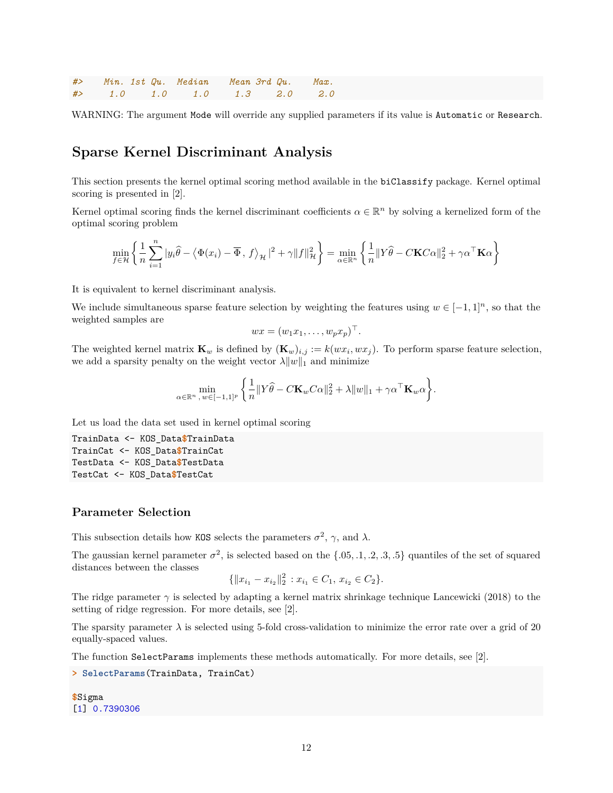*#> Min. 1st Qu. Median Mean 3rd Qu. Max. #> 1.0 1.0 1.0 1.3 2.0 2.0*

WARNING: The argument Mode will override any supplied parameters if its value is Automatic or Research.

### <span id="page-11-0"></span>**Sparse Kernel Discriminant Analysis**

This section presents the kernel optimal scoring method available in the biClassify package. Kernel optimal scoring is presented in [\[2\]](#page-13-1).

Kernel optimal scoring finds the kernel discriminant coefficients  $\alpha \in \mathbb{R}^n$  by solving a kernelized form of the optimal scoring problem

$$
\min_{f \in \mathcal{H}} \left\{ \frac{1}{n} \sum_{i=1}^{n} |y_i \widehat{\theta} - \langle \Phi(x_i) - \overline{\Phi}, f \rangle_{\mathcal{H}}|^2 + \gamma \|f\|_{\mathcal{H}}^2 \right\} = \min_{\alpha \in \mathbb{R}^n} \left\{ \frac{1}{n} \|Y \widehat{\theta} - C \mathbf{K} C \alpha\|_2^2 + \gamma \alpha^{\top} \mathbf{K} \alpha \right\}
$$

It is equivalent to kernel discriminant analysis.

We include simultaneous sparse feature selection by weighting the features using  $w \in [-1,1]^n$ , so that the weighted samples are

$$
wx = (w_1x_1, \ldots, w_px_p)^\top.
$$

The weighted kernel matrix  $\mathbf{K}_w$  is defined by  $(\mathbf{K}_w)_{i,j} := k(wx_i, wx_j)$ . To perform sparse feature selection, we add a sparsity penalty on the weight vector  $\lambda \|w\|_1$  and minimize

$$
\min_{\alpha \in \mathbb{R}^n, w \in [-1,1]^p} \left\{ \frac{1}{n} \|Y\widehat{\theta} - C\mathbf{K}_w C\alpha\|_2^2 + \lambda \|w\|_1 + \gamma \alpha^{\top} \mathbf{K}_w \alpha \right\}.
$$

Let us load the data set used in kernel optimal scoring

```
TrainData <- KOS_Data$TrainData
TrainCat <- KOS_Data$TrainCat
TestData <- KOS_Data$TestData
TestCat <- KOS_Data$TestCat
```
#### <span id="page-11-1"></span>**Parameter Selection**

This subsection details how KOS selects the parameters  $\sigma^2$ ,  $\gamma$ , and  $\lambda$ .

The gaussian kernel parameter  $\sigma^2$ , is selected based on the  $\{.05, .1, .2, .3, .5\}$  quantiles of the set of squared distances between the classes

$$
\{\|x_{i_1} - x_{i_2}\|_2^2 : x_{i_1} \in C_1, x_{i_2} \in C_2\}.
$$

The ridge parameter  $\gamma$  is selected by adapting a kernel matrix shrinkage technique Lancewicki (2018) to the setting of ridge regression. For more details, see [\[2\]](#page-13-1).

The sparsity parameter  $\lambda$  is selected using 5-fold cross-validation to minimize the error rate over a grid of 20 equally-spaced values.

The function SelectParams implements these methods automatically. For more details, see [\[2\]](#page-13-1).

**> SelectParams**(TrainData, TrainCat)

**\$**Sigma [1] 0.7390306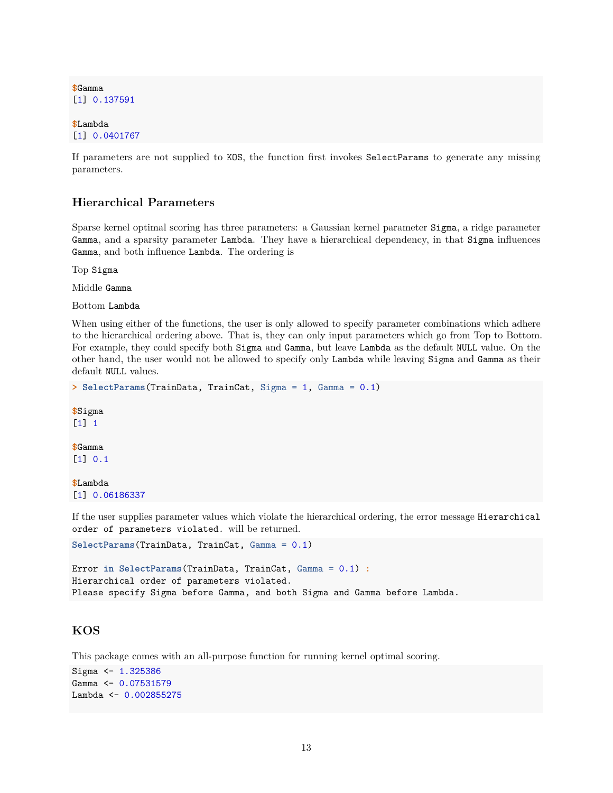**\$**Gamma [1] 0.137591

**\$**Lambda [1] 0.0401767

If parameters are not supplied to KOS, the function first invokes SelectParams to generate any missing parameters.

#### <span id="page-12-0"></span>**Hierarchical Parameters**

Sparse kernel optimal scoring has three parameters: a Gaussian kernel parameter Sigma, a ridge parameter Gamma, and a sparsity parameter Lambda. They have a hierarchical dependency, in that Sigma influences Gamma, and both influence Lambda. The ordering is

Top Sigma

Middle Gamma

Bottom Lambda

When using either of the functions, the user is only allowed to specify parameter combinations which adhere to the hierarchical ordering above. That is, they can only input parameters which go from Top to Bottom. For example, they could specify both Sigma and Gamma, but leave Lambda as the default NULL value. On the other hand, the user would not be allowed to specify only Lambda while leaving Sigma and Gamma as their default NULL values.

```
> SelectParams(TrainData, TrainCat, Sigma = 1, Gamma = 0.1)
$Sigma
```
[1] 1

**\$**Gamma [1] 0.1

**\$**Lambda [1] 0.06186337

If the user supplies parameter values which violate the hierarchical ordering, the error message Hierarchical order of parameters violated. will be returned.

```
SelectParams(TrainData, TrainCat, Gamma = 0.1)
```
Error **in SelectParams**(TrainData, TrainCat, Gamma = 0.1) **:** Hierarchical order of parameters violated. Please specify Sigma before Gamma, and both Sigma and Gamma before Lambda.

#### <span id="page-12-1"></span>**KOS**

This package comes with an all-purpose function for running kernel optimal scoring.

```
Sigma <- 1.325386
Gamma <- 0.07531579
Lambda <- 0.002855275
```